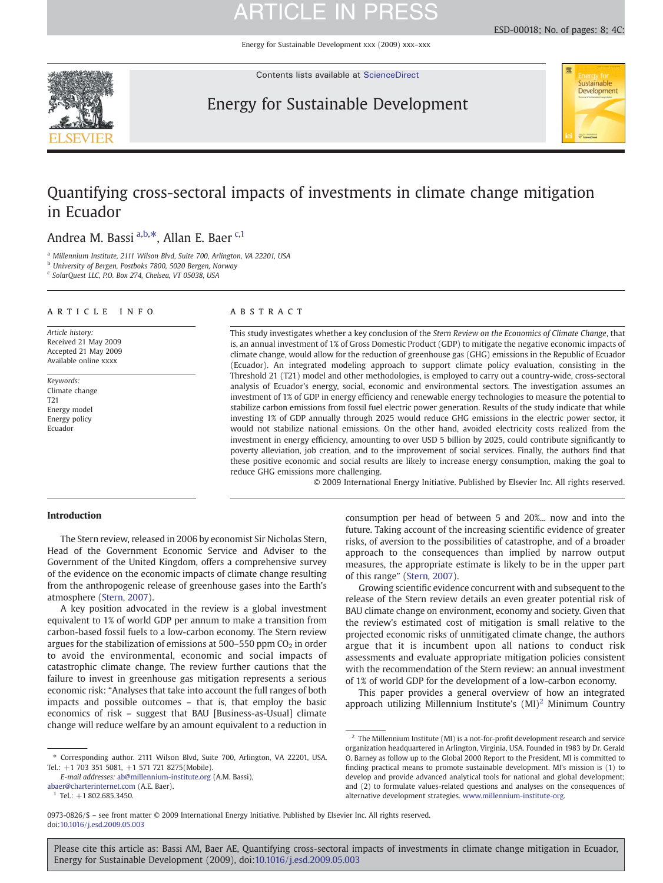Energy for Sustainable Development xxx (2009) xxx–xxx



Contents lists available at [ScienceDirect](http://www.sciencedirect.com/science/journal/00000000)

### Energy for Sustainable Development



### Quantifying cross-sectoral impacts of investments in climate change mitigation in Ecuador

### Andrea M. Bassi <sup>a,b,\*</sup>, Allan E. Baer <sup>c,1</sup>

<sup>a</sup> Millennium Institute, 2111 Wilson Blvd, Suite 700, Arlington, VA 22201, USA

<sup>b</sup> University of Bergen, Postboks 7800, 5020 Bergen, Norway

<sup>c</sup> SolarQuest LLC, P.O. Box 274, Chelsea, VT 05038, USA

#### article info abstract

Article history: Received 21 May 2009 Accepted 21 May 2009 Available online xxxx

Keywords: Climate change T21 Energy model Energy policy Ecuador

This study investigates whether a key conclusion of the Stern Review on the Economics of Climate Change, that is, an annual investment of 1% of Gross Domestic Product (GDP) to mitigate the negative economic impacts of climate change, would allow for the reduction of greenhouse gas (GHG) emissions in the Republic of Ecuador (Ecuador). An integrated modeling approach to support climate policy evaluation, consisting in the Threshold 21 (T21) model and other methodologies, is employed to carry out a country-wide, cross-sectoral analysis of Ecuador's energy, social, economic and environmental sectors. The investigation assumes an investment of 1% of GDP in energy efficiency and renewable energy technologies to measure the potential to stabilize carbon emissions from fossil fuel electric power generation. Results of the study indicate that while investing 1% of GDP annually through 2025 would reduce GHG emissions in the electric power sector, it would not stabilize national emissions. On the other hand, avoided electricity costs realized from the investment in energy efficiency, amounting to over USD 5 billion by 2025, could contribute significantly to poverty alleviation, job creation, and to the improvement of social services. Finally, the authors find that these positive economic and social results are likely to increase energy consumption, making the goal to reduce GHG emissions more challenging.

© 2009 International Energy Initiative. Published by Elsevier Inc. All rights reserved.

#### Introduction

The Stern review, released in 2006 by economist Sir Nicholas Stern, Head of the Government Economic Service and Adviser to the Government of the United Kingdom, offers a comprehensive survey of the evidence on the economic impacts of climate change resulting from the anthropogenic release of greenhouse gases into the Earth's atmosphere ([Stern, 2007](#page-7-0)).

A key position advocated in the review is a global investment equivalent to 1% of world GDP per annum to make a transition from carbon-based fossil fuels to a low-carbon economy. The Stern review argues for the stabilization of emissions at 500–550 ppm  $CO<sub>2</sub>$  in order to avoid the environmental, economic and social impacts of catastrophic climate change. The review further cautions that the failure to invest in greenhouse gas mitigation represents a serious economic risk: "Analyses that take into account the full ranges of both impacts and possible outcomes – that is, that employ the basic economics of risk – suggest that BAU [Business-as-Usual] climate change will reduce welfare by an amount equivalent to a reduction in

consumption per head of between 5 and 20%... now and into the future. Taking account of the increasing scientific evidence of greater risks, of aversion to the possibilities of catastrophe, and of a broader approach to the consequences than implied by narrow output measures, the appropriate estimate is likely to be in the upper part of this range" ([Stern, 2007](#page-7-0)).

Growing scientific evidence concurrent with and subsequent to the release of the Stern review details an even greater potential risk of BAU climate change on environment, economy and society. Given that the review's estimated cost of mitigation is small relative to the projected economic risks of unmitigated climate change, the authors argue that it is incumbent upon all nations to conduct risk assessments and evaluate appropriate mitigation policies consistent with the recommendation of the Stern review: an annual investment of 1% of world GDP for the development of a low-carbon economy.

This paper provides a general overview of how an integrated approach utilizing Millennium Institute's  $(MI)^2$  Minimum Country

0973-0826/\$ – see front matter © 2009 International Energy Initiative. Published by Elsevier Inc. All rights reserved. doi:[10.1016/j.esd.2009.05.003](http://dx.doi.org/10.1016/j.esd.2009.05.003)

<sup>⁎</sup> Corresponding author. 2111 Wilson Blvd, Suite 700, Arlington, VA 22201, USA. Tel.: +1 703 351 5081, +1 571 721 8275(Mobile).

E-mail addresses: [ab@millennium-institute.org](mailto:ab@millennium-institute.org) (A.M. Bassi), [abaer@charterinternet.com](mailto:abaer@charterinternet.com) (A.E. Baer).

 $1$  Tel.: +1 802.685.3450.

 $2$  The Millennium Institute (MI) is a not-for-profit development research and service organization headquartered in Arlington, Virginia, USA. Founded in 1983 by Dr. Gerald O. Barney as follow up to the Global 2000 Report to the President, MI is committed to finding practical means to promote sustainable development. MI's mission is (1) to develop and provide advanced analytical tools for national and global development; and (2) to formulate values-related questions and analyses on the consequences of alternative development strategies. [www.millennium-institute-org.](http://www.millennium-institute-org)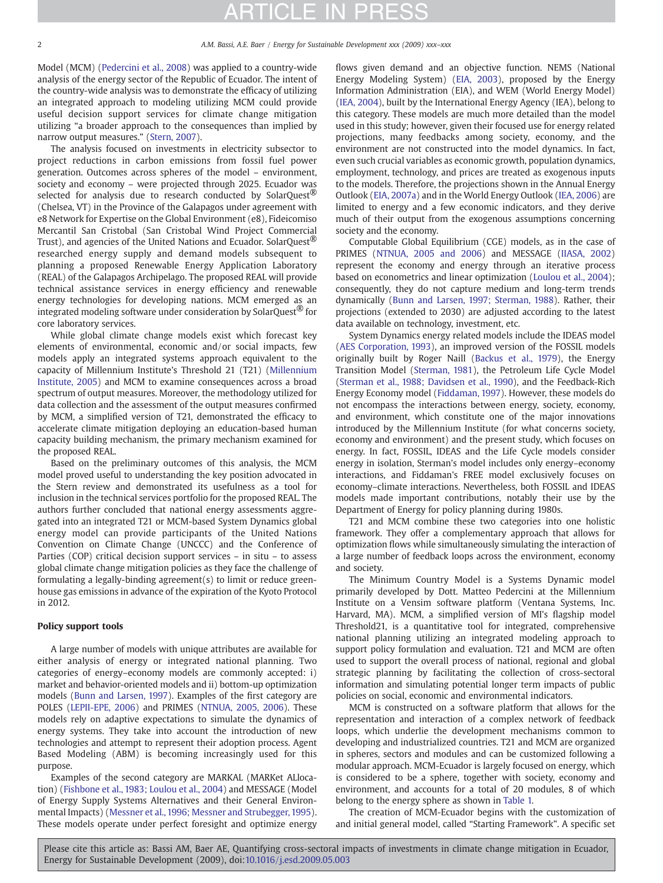Model (MCM) ([Pedercini et al., 2008\)](#page-7-0) was applied to a country-wide analysis of the energy sector of the Republic of Ecuador. The intent of the country-wide analysis was to demonstrate the efficacy of utilizing an integrated approach to modeling utilizing MCM could provide useful decision support services for climate change mitigation utilizing "a broader approach to the consequences than implied by narrow output measures." ([Stern, 2007](#page-7-0)).

The analysis focused on investments in electricity subsector to project reductions in carbon emissions from fossil fuel power generation. Outcomes across spheres of the model – environment, society and economy – were projected through 2025. Ecuador was selected for analysis due to research conducted by SolarQuest<sup>®</sup> (Chelsea, VT) in the Province of the Galapagos under agreement with e8 Network for Expertise on the Global Environment (e8), Fideicomiso Mercantil San Cristobal (San Cristobal Wind Project Commercial Trust), and agencies of the United Nations and Ecuador. SolarQuest<sup>®</sup> researched energy supply and demand models subsequent to planning a proposed Renewable Energy Application Laboratory (REAL) of the Galapagos Archipelago. The proposed REAL will provide technical assistance services in energy efficiency and renewable energy technologies for developing nations. MCM emerged as an integrated modeling software under consideration by SolarQuest<sup>®</sup> for core laboratory services.

While global climate change models exist which forecast key elements of environmental, economic and/or social impacts, few models apply an integrated systems approach equivalent to the capacity of Millennium Institute's Threshold 21 (T21) [\(Millennium](#page-7-0) [Institute, 2005\)](#page-7-0) and MCM to examine consequences across a broad spectrum of output measures. Moreover, the methodology utilized for data collection and the assessment of the output measures confirmed by MCM, a simplified version of T21, demonstrated the efficacy to accelerate climate mitigation deploying an education-based human capacity building mechanism, the primary mechanism examined for the proposed REAL.

Based on the preliminary outcomes of this analysis, the MCM model proved useful to understanding the key position advocated in the Stern review and demonstrated its usefulness as a tool for inclusion in the technical services portfolio for the proposed REAL. The authors further concluded that national energy assessments aggregated into an integrated T21 or MCM-based System Dynamics global energy model can provide participants of the United Nations Convention on Climate Change (UNCCC) and the Conference of Parties (COP) critical decision support services – in situ – to assess global climate change mitigation policies as they face the challenge of formulating a legally-binding agreement(s) to limit or reduce greenhouse gas emissions in advance of the expiration of the Kyoto Protocol in 2012.

#### Policy support tools

A large number of models with unique attributes are available for either analysis of energy or integrated national planning. Two categories of energy–economy models are commonly accepted: i) market and behavior-oriented models and ii) bottom-up optimization models ([Bunn and Larsen, 1997\)](#page-7-0). Examples of the first category are POLES [\(LEPII-EPE, 2006\)](#page-7-0) and PRIMES ([NTNUA, 2005, 2006\)](#page-7-0). These models rely on adaptive expectations to simulate the dynamics of energy systems. They take into account the introduction of new technologies and attempt to represent their adoption process. Agent Based Modeling (ABM) is becoming increasingly used for this purpose.

Examples of the second category are MARKAL (MARKet ALlocation) [\(Fishbone et al., 1983; Loulou et al., 2004](#page-7-0)) and MESSAGE (Model of Energy Supply Systems Alternatives and their General Environmental Impacts) [\(Messner et al., 1996; Messner and Strubegger, 1995](#page-7-0)). These models operate under perfect foresight and optimize energy flows given demand and an objective function. NEMS (National Energy Modeling System) ([EIA, 2003](#page-7-0)), proposed by the Energy Information Administration (EIA), and WEM (World Energy Model) [\(IEA, 2004\)](#page-7-0), built by the International Energy Agency (IEA), belong to this category. These models are much more detailed than the model used in this study; however, given their focused use for energy related projections, many feedbacks among society, economy, and the environment are not constructed into the model dynamics. In fact, even such crucial variables as economic growth, population dynamics, employment, technology, and prices are treated as exogenous inputs to the models. Therefore, the projections shown in the Annual Energy Outlook ([EIA, 2007a\)](#page-7-0) and in the World Energy Outlook [\(IEA, 2006](#page-7-0)) are limited to energy and a few economic indicators, and they derive much of their output from the exogenous assumptions concerning society and the economy.

Computable Global Equilibrium (CGE) models, as in the case of PRIMES [\(NTNUA, 2005 and 2006](#page-7-0)) and MESSAGE [\(IIASA, 2002](#page-7-0)) represent the economy and energy through an iterative process based on econometrics and linear optimization [\(Loulou et al., 2004\)](#page-7-0); consequently, they do not capture medium and long-term trends dynamically ([Bunn and Larsen, 1997; Sterman, 1988\)](#page-7-0). Rather, their projections (extended to 2030) are adjusted according to the latest data available on technology, investment, etc.

System Dynamics energy related models include the IDEAS model [\(AES Corporation, 1993](#page-7-0)), an improved version of the FOSSIL models originally built by Roger Naill ([Backus et al., 1979\)](#page-7-0), the Energy Transition Model [\(Sterman, 1981\)](#page-7-0), the Petroleum Life Cycle Model [\(Sterman et al., 1988; Davidsen et al., 1990\)](#page-7-0), and the Feedback-Rich Energy Economy model [\(Fiddaman, 1997\)](#page-7-0). However, these models do not encompass the interactions between energy, society, economy, and environment, which constitute one of the major innovations introduced by the Millennium Institute (for what concerns society, economy and environment) and the present study, which focuses on energy. In fact, FOSSIL, IDEAS and the Life Cycle models consider energy in isolation, Sterman's model includes only energy–economy interactions, and Fiddaman's FREE model exclusively focuses on economy–climate interactions. Nevertheless, both FOSSIL and IDEAS models made important contributions, notably their use by the Department of Energy for policy planning during 1980s.

T21 and MCM combine these two categories into one holistic framework. They offer a complementary approach that allows for optimization flows while simultaneously simulating the interaction of a large number of feedback loops across the environment, economy and society.

The Minimum Country Model is a Systems Dynamic model primarily developed by Dott. Matteo Pedercini at the Millennium Institute on a Vensim software platform (Ventana Systems, Inc. Harvard, MA). MCM, a simplified version of MI's flagship model Threshold21, is a quantitative tool for integrated, comprehensive national planning utilizing an integrated modeling approach to support policy formulation and evaluation. T21 and MCM are often used to support the overall process of national, regional and global strategic planning by facilitating the collection of cross-sectoral information and simulating potential longer term impacts of public policies on social, economic and environmental indicators.

MCM is constructed on a software platform that allows for the representation and interaction of a complex network of feedback loops, which underlie the development mechanisms common to developing and industrialized countries. T21 and MCM are organized in spheres, sectors and modules and can be customized following a modular approach. MCM-Ecuador is largely focused on energy, which is considered to be a sphere, together with society, economy and environment, and accounts for a total of 20 modules, 8 of which belong to the energy sphere as shown in [Table 1.](#page-2-0)

The creation of MCM-Ecuador begins with the customization of and initial general model, called "Starting Framework". A specific set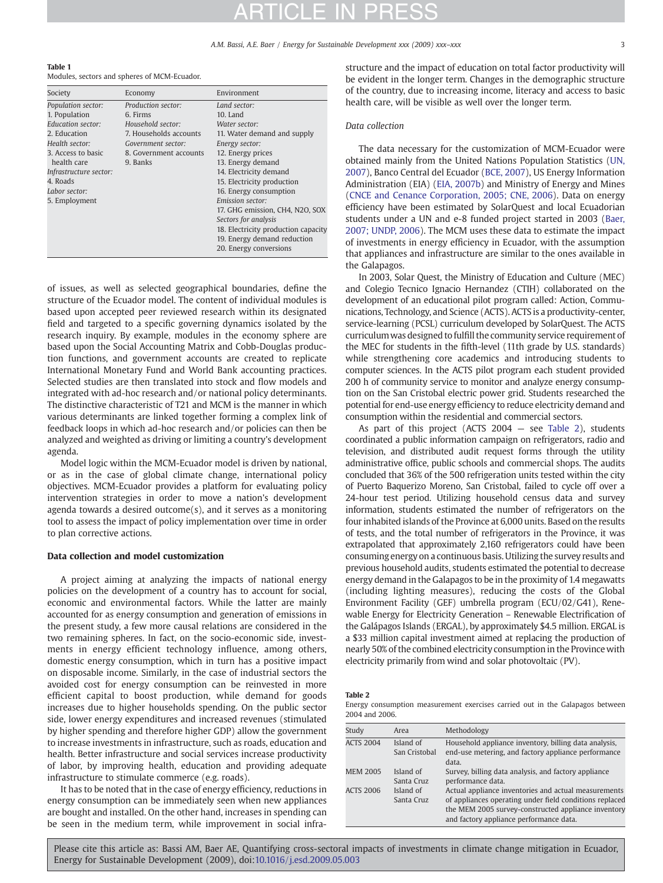A.M. Bassi, A.E. Baer / Energy for Sustainable Development xxx (2009) xxx-xxx

<span id="page-2-0"></span>Table 1

Modules, sectors and spheres of MCM-Ecuador.

| Society                  | Economy                | Environment                         |
|--------------------------|------------------------|-------------------------------------|
| Population sector:       | Production sector:     | Land sector:                        |
| 1. Population            | 6. Firms               | $10.$ Land                          |
| <b>Education</b> sector: | Household sector:      | Water sector:                       |
| 2. Education             | 7. Households accounts | 11. Water demand and supply         |
| Health sector:           | Government sector:     | Energy sector:                      |
| 3. Access to basic       | 8. Government accounts | 12. Energy prices                   |
| health care              | 9. Banks               | 13. Energy demand                   |
| Infrastructure sector:   |                        | 14. Electricity demand              |
| 4. Roads                 |                        | 15. Electricity production          |
| Labor sector:            |                        | 16. Energy consumption              |
| 5. Employment            |                        | Emission sector:                    |
|                          |                        | 17. GHG emission, CH4, N2O, SOX     |
|                          |                        | Sectors for analysis                |
|                          |                        | 18. Electricity production capacity |
|                          |                        | 19. Energy demand reduction         |
|                          |                        | 20. Energy conversions              |

of issues, as well as selected geographical boundaries, define the structure of the Ecuador model. The content of individual modules is based upon accepted peer reviewed research within its designated field and targeted to a specific governing dynamics isolated by the research inquiry. By example, modules in the economy sphere are based upon the Social Accounting Matrix and Cobb-Douglas production functions, and government accounts are created to replicate International Monetary Fund and World Bank accounting practices. Selected studies are then translated into stock and flow models and integrated with ad-hoc research and/or national policy determinants. The distinctive characteristic of T21 and MCM is the manner in which various determinants are linked together forming a complex link of feedback loops in which ad-hoc research and/or policies can then be analyzed and weighted as driving or limiting a country's development agenda.

Model logic within the MCM-Ecuador model is driven by national, or as in the case of global climate change, international policy objectives. MCM-Ecuador provides a platform for evaluating policy intervention strategies in order to move a nation's development agenda towards a desired outcome(s), and it serves as a monitoring tool to assess the impact of policy implementation over time in order to plan corrective actions.

#### Data collection and model customization

A project aiming at analyzing the impacts of national energy policies on the development of a country has to account for social, economic and environmental factors. While the latter are mainly accounted for as energy consumption and generation of emissions in the present study, a few more causal relations are considered in the two remaining spheres. In fact, on the socio-economic side, investments in energy efficient technology influence, among others, domestic energy consumption, which in turn has a positive impact on disposable income. Similarly, in the case of industrial sectors the avoided cost for energy consumption can be reinvested in more efficient capital to boost production, while demand for goods increases due to higher households spending. On the public sector side, lower energy expenditures and increased revenues (stimulated by higher spending and therefore higher GDP) allow the government to increase investments in infrastructure, such as roads, education and health. Better infrastructure and social services increase productivity of labor, by improving health, education and providing adequate infrastructure to stimulate commerce (e.g. roads).

It has to be noted that in the case of energy efficiency, reductions in energy consumption can be immediately seen when new appliances are bought and installed. On the other hand, increases in spending can be seen in the medium term, while improvement in social infrastructure and the impact of education on total factor productivity will be evident in the longer term. Changes in the demographic structure of the country, due to increasing income, literacy and access to basic health care, will be visible as well over the longer term.

#### Data collection

The data necessary for the customization of MCM-Ecuador were obtained mainly from the United Nations Population Statistics [\(UN,](#page-7-0) [2007\)](#page-7-0), Banco Central del Ecuador ([BCE, 2007](#page-7-0)), US Energy Information Administration (EIA) ([EIA, 2007b\)](#page-7-0) and Ministry of Energy and Mines [\(CNCE and Cenance Corporation, 2005; CNE, 2006\)](#page-7-0). Data on energy efficiency have been estimated by SolarQuest and local Ecuadorian students under a UN and e-8 funded project started in 2003 [\(Baer,](#page-7-0) [2007; UNDP, 2006](#page-7-0)). The MCM uses these data to estimate the impact of investments in energy efficiency in Ecuador, with the assumption that appliances and infrastructure are similar to the ones available in the Galapagos.

In 2003, Solar Quest, the Ministry of Education and Culture (MEC) and Colegio Tecnico Ignacio Hernandez (CTIH) collaborated on the development of an educational pilot program called: Action, Communications, Technology, and Science (ACTS). ACTS is a productivity-center, service-learning (PCSL) curriculum developed by SolarQuest. The ACTS curriculumwas designed to fulfill the community service requirement of the MEC for students in the fifth-level (11th grade by U.S. standards) while strengthening core academics and introducing students to computer sciences. In the ACTS pilot program each student provided 200 h of community service to monitor and analyze energy consumption on the San Cristobal electric power grid. Students researched the potential for end-use energy efficiency to reduce electricity demand and consumption within the residential and commercial sectors.

As part of this project (ACTS 2004 — see Table 2), students coordinated a public information campaign on refrigerators, radio and television, and distributed audit request forms through the utility administrative office, public schools and commercial shops. The audits concluded that 36% of the 500 refrigeration units tested within the city of Puerto Baquerizo Moreno, San Cristobal, failed to cycle off over a 24-hour test period. Utilizing household census data and survey information, students estimated the number of refrigerators on the four inhabited islands of the Province at 6,000 units. Based on the results of tests, and the total number of refrigerators in the Province, it was extrapolated that approximately 2,160 refrigerators could have been consuming energy on a continuous basis. Utilizing the survey results and previous household audits, students estimated the potential to decrease energy demand in the Galapagos to be in the proximity of 1.4 megawatts (including lighting measures), reducing the costs of the Global Environment Facility (GEF) umbrella program (ECU/02/G41), Renewable Energy for Electricity Generation – Renewable Electrification of the Galápagos Islands (ERGAL), by approximately \$4.5 million. ERGAL is a \$33 million capital investment aimed at replacing the production of nearly 50% of the combined electricity consumption in the Province with electricity primarily from wind and solar photovoltaic (PV).

#### Table 2

Energy consumption measurement exercises carried out in the Galapagos between 2004 and 2006.

| Study            | Area                       | Methodology                                                                                                                                                                                                       |
|------------------|----------------------------|-------------------------------------------------------------------------------------------------------------------------------------------------------------------------------------------------------------------|
|                  |                            |                                                                                                                                                                                                                   |
| <b>ACTS 2004</b> | Island of<br>San Cristobal | Household appliance inventory, billing data analysis,<br>end-use metering, and factory appliance performance<br>data.                                                                                             |
| <b>MEM 2005</b>  | Island of<br>Santa Cruz    | Survey, billing data analysis, and factory appliance<br>performance data.                                                                                                                                         |
| <b>ACTS 2006</b> | Island of<br>Santa Cruz    | Actual appliance inventories and actual measurements<br>of appliances operating under field conditions replaced<br>the MEM 2005 survey-constructed appliance inventory<br>and factory appliance performance data. |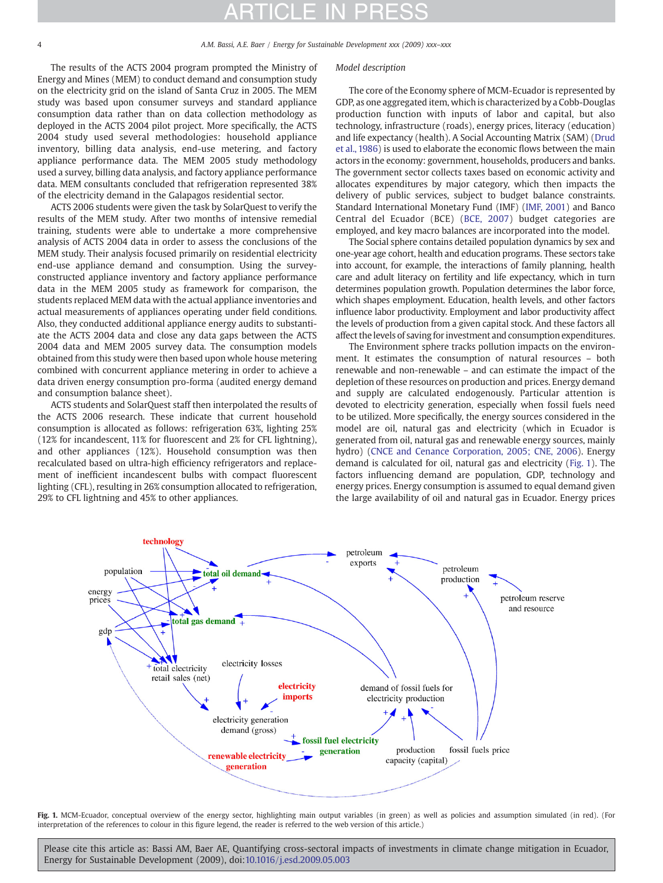#### 4 A.M. Bassi, A.E. Baer / Energy for Sustainable Development xxx (2009) xxx–xxx

The results of the ACTS 2004 program prompted the Ministry of Energy and Mines (MEM) to conduct demand and consumption study on the electricity grid on the island of Santa Cruz in 2005. The MEM study was based upon consumer surveys and standard appliance consumption data rather than on data collection methodology as deployed in the ACTS 2004 pilot project. More specifically, the ACTS 2004 study used several methodologies: household appliance inventory, billing data analysis, end-use metering, and factory appliance performance data. The MEM 2005 study methodology used a survey, billing data analysis, and factory appliance performance data. MEM consultants concluded that refrigeration represented 38% of the electricity demand in the Galapagos residential sector.

ACTS 2006 students were given the task by SolarQuest to verify the results of the MEM study. After two months of intensive remedial training, students were able to undertake a more comprehensive analysis of ACTS 2004 data in order to assess the conclusions of the MEM study. Their analysis focused primarily on residential electricity end-use appliance demand and consumption. Using the surveyconstructed appliance inventory and factory appliance performance data in the MEM 2005 study as framework for comparison, the students replaced MEM data with the actual appliance inventories and actual measurements of appliances operating under field conditions. Also, they conducted additional appliance energy audits to substantiate the ACTS 2004 data and close any data gaps between the ACTS 2004 data and MEM 2005 survey data. The consumption models obtained from this study were then based upon whole house metering combined with concurrent appliance metering in order to achieve a data driven energy consumption pro-forma (audited energy demand and consumption balance sheet).

ACTS students and SolarQuest staff then interpolated the results of the ACTS 2006 research. These indicate that current household consumption is allocated as follows: refrigeration 63%, lighting 25% (12% for incandescent, 11% for fluorescent and 2% for CFL lightning), and other appliances (12%). Household consumption was then recalculated based on ultra-high efficiency refrigerators and replacement of inefficient incandescent bulbs with compact fluorescent lighting (CFL), resulting in 26% consumption allocated to refrigeration, 29% to CFL lightning and 45% to other appliances.

#### Model description

The core of the Economy sphere of MCM-Ecuador is represented by GDP, as one aggregated item, which is characterized by a Cobb-Douglas production function with inputs of labor and capital, but also technology, infrastructure (roads), energy prices, literacy (education) and life expectancy (health). A Social Accounting Matrix (SAM) [\(Drud](#page-7-0) [et al., 1986\)](#page-7-0) is used to elaborate the economic flows between the main actors in the economy: government, households, producers and banks. The government sector collects taxes based on economic activity and allocates expenditures by major category, which then impacts the delivery of public services, subject to budget balance constraints. Standard International Monetary Fund (IMF) [\(IMF, 2001\)](#page-7-0) and Banco Central del Ecuador (BCE) ([BCE, 2007\)](#page-7-0) budget categories are employed, and key macro balances are incorporated into the model.

The Social sphere contains detailed population dynamics by sex and one-year age cohort, health and education programs. These sectors take into account, for example, the interactions of family planning, health care and adult literacy on fertility and life expectancy, which in turn determines population growth. Population determines the labor force, which shapes employment. Education, health levels, and other factors influence labor productivity. Employment and labor productivity affect the levels of production from a given capital stock. And these factors all affect the levels of saving for investment and consumption expenditures.

The Environment sphere tracks pollution impacts on the environment. It estimates the consumption of natural resources – both renewable and non-renewable – and can estimate the impact of the depletion of these resources on production and prices. Energy demand and supply are calculated endogenously. Particular attention is devoted to electricity generation, especially when fossil fuels need to be utilized. More specifically, the energy sources considered in the model are oil, natural gas and electricity (which in Ecuador is generated from oil, natural gas and renewable energy sources, mainly hydro) [\(CNCE and Cenance Corporation, 2005; CNE, 2006\)](#page-7-0). Energy demand is calculated for oil, natural gas and electricity (Fig. 1). The factors influencing demand are population, GDP, technology and energy prices. Energy consumption is assumed to equal demand given the large availability of oil and natural gas in Ecuador. Energy prices



Fig. 1. MCM-Ecuador, conceptual overview of the energy sector, highlighting main output variables (in green) as well as policies and assumption simulated (in red). (For interpretation of the references to colour in this figure legend, the reader is referred to the web version of this article.)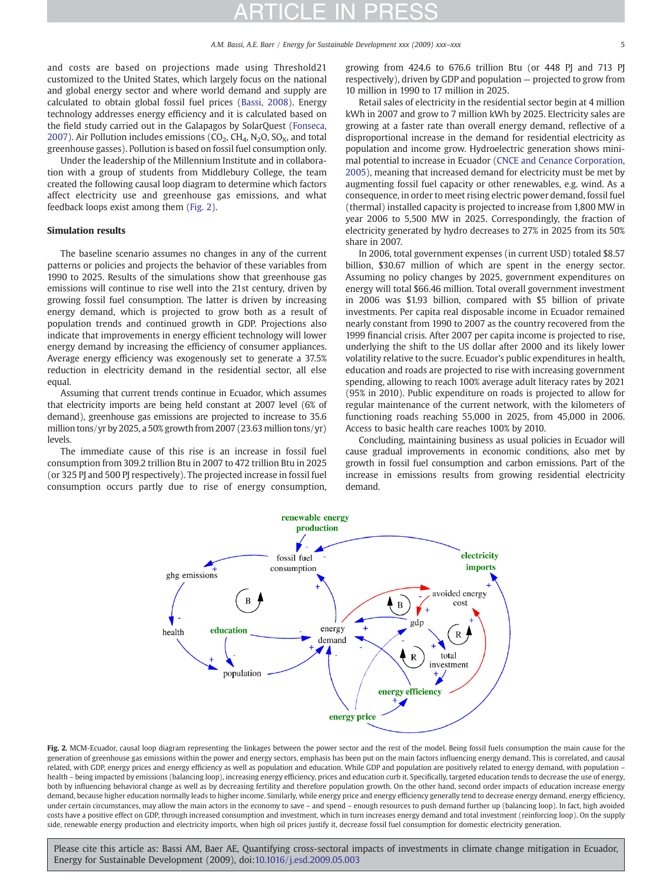and costs are based on projections made using Threshold21 customized to the United States, which largely focus on the national and global energy sector and where world demand and supply are calculated to obtain global fossil fuel prices ([Bassi, 2008](#page-7-0)). Energy technology addresses energy efficiency and it is calculated based on the field study carried out in the Galapagos by SolarQuest [\(Fonseca,](#page-7-0) [2007\)](#page-7-0). Air Pollution includes emissions ( $CO<sub>2</sub>$ ,  $CH<sub>4</sub>$ , N<sub>2</sub>O, SO<sub>X</sub>, and total greenhouse gasses). Pollution is based on fossil fuel consumption only.

Under the leadership of the Millennium Institute and in collaboration with a group of students from Middlebury College, the team created the following causal loop diagram to determine which factors affect electricity use and greenhouse gas emissions, and what feedback loops exist among them (Fig. 2).

#### Simulation results

The baseline scenario assumes no changes in any of the current patterns or policies and projects the behavior of these variables from 1990 to 2025. Results of the simulations show that greenhouse gas emissions will continue to rise well into the 21st century, driven by growing fossil fuel consumption. The latter is driven by increasing energy demand, which is projected to grow both as a result of population trends and continued growth in GDP. Projections also indicate that improvements in energy efficient technology will lower energy demand by increasing the efficiency of consumer appliances. Average energy efficiency was exogenously set to generate a 37.5% reduction in electricity demand in the residential sector, all else equal.

Assuming that current trends continue in Ecuador, which assumes that electricity imports are being held constant at 2007 level (6% of demand), greenhouse gas emissions are projected to increase to 35.6 million tons/yr by 2025, a 50% growth from 2007 (23.63 million tons/yr) levels.

The immediate cause of this rise is an increase in fossil fuel consumption from 309.2 trillion Btu in 2007 to 472 trillion Btu in 2025 (or 325 PJ and 500 PJ respectively). The projected increase in fossil fuel consumption occurs partly due to rise of energy consumption, growing from 424.6 to 676.6 trillion Btu (or 448 PJ and 713 PJ respectively), driven by GDP and population — projected to grow from 10 million in 1990 to 17 million in 2025.

Retail sales of electricity in the residential sector begin at 4 million kWh in 2007 and grow to 7 million kWh by 2025. Electricity sales are growing at a faster rate than overall energy demand, reflective of a disproportional increase in the demand for residential electricity as population and income grow. Hydroelectric generation shows minimal potential to increase in Ecuador ([CNCE and Cenance Corporation,](#page-7-0) [2005\)](#page-7-0), meaning that increased demand for electricity must be met by augmenting fossil fuel capacity or other renewables, e.g. wind. As a consequence, in order to meet rising electric power demand, fossil fuel (thermal) installed capacity is projected to increase from 1,800 MW in year 2006 to 5,500 MW in 2025. Correspondingly, the fraction of electricity generated by hydro decreases to 27% in 2025 from its 50% share in 2007.

In 2006, total government expenses (in current USD) totaled \$8.57 billion, \$30.67 million of which are spent in the energy sector. Assuming no policy changes by 2025, government expenditures on energy will total \$66.46 million. Total overall government investment in 2006 was \$1.93 billion, compared with \$5 billion of private investments. Per capita real disposable income in Ecuador remained nearly constant from 1990 to 2007 as the country recovered from the 1999 financial crisis. After 2007 per capita income is projected to rise, underlying the shift to the US dollar after 2000 and its likely lower volatility relative to the sucre. Ecuador's public expenditures in health, education and roads are projected to rise with increasing government spending, allowing to reach 100% average adult literacy rates by 2021 (95% in 2010). Public expenditure on roads is projected to allow for regular maintenance of the current network, with the kilometers of functioning roads reaching 55,000 in 2025, from 45,000 in 2006. Access to basic health care reaches 100% by 2010.

Concluding, maintaining business as usual policies in Ecuador will cause gradual improvements in economic conditions, also met by growth in fossil fuel consumption and carbon emissions. Part of the increase in emissions results from growing residential electricity demand.



Fig. 2. MCM-Ecuador, causal loop diagram representing the linkages between the power sector and the rest of the model. Being fossil fuels consumption the main cause for the generation of greenhouse gas emissions within the power and energy sectors, emphasis has been put on the main factors influencing energy demand. This is correlated, and causal related, with GDP, energy prices and energy efficiency as well as population and education. While GDP and population are positively related to energy demand, with population health – being impacted by emissions (balancing loop), increasing energy efficiency, prices and education curb it. Specifically, targeted education tends to decrease the use of energy, both by influencing behavioral change as well as by decreasing fertility and therefore population growth. On the other hand, second order impacts of education increase energy demand, because higher education normally leads to higher income. Similarly, while energy price and energy efficiency generally tend to decrease energy demand, energy efficiency, under certain circumstances, may allow the main actors in the economy to save – and spend – enough resources to push demand further up (balancing loop). In fact, high avoided costs have a positive effect on GDP, through increased consumption and investment, which in turn increases energy demand and total investment (reinforcing loop). On the supply side, renewable energy production and electricity imports, when high oil prices justify it, decrease fossil fuel consumption for domestic electricity generation.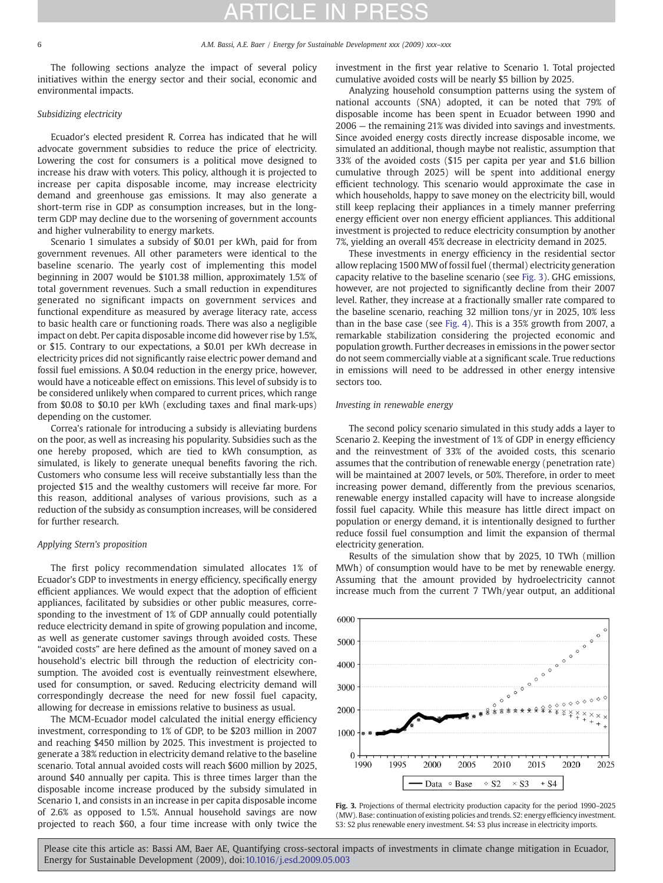<span id="page-5-0"></span>The following sections analyze the impact of several policy initiatives within the energy sector and their social, economic and environmental impacts.

### Subsidizing electricity

Ecuador's elected president R. Correa has indicated that he will advocate government subsidies to reduce the price of electricity. Lowering the cost for consumers is a political move designed to increase his draw with voters. This policy, although it is projected to increase per capita disposable income, may increase electricity demand and greenhouse gas emissions. It may also generate a short-term rise in GDP as consumption increases, but in the longterm GDP may decline due to the worsening of government accounts and higher vulnerability to energy markets.

Scenario 1 simulates a subsidy of \$0.01 per kWh, paid for from government revenues. All other parameters were identical to the baseline scenario. The yearly cost of implementing this model beginning in 2007 would be \$101.38 million, approximately 1.5% of total government revenues. Such a small reduction in expenditures generated no significant impacts on government services and functional expenditure as measured by average literacy rate, access to basic health care or functioning roads. There was also a negligible impact on debt. Per capita disposable income did however rise by 1.5%, or \$15. Contrary to our expectations, a \$0.01 per kWh decrease in electricity prices did not significantly raise electric power demand and fossil fuel emissions. A \$0.04 reduction in the energy price, however, would have a noticeable effect on emissions. This level of subsidy is to be considered unlikely when compared to current prices, which range from \$0.08 to \$0.10 per kWh (excluding taxes and final mark-ups) depending on the customer.

Correa's rationale for introducing a subsidy is alleviating burdens on the poor, as well as increasing his popularity. Subsidies such as the one hereby proposed, which are tied to kWh consumption, as simulated, is likely to generate unequal benefits favoring the rich. Customers who consume less will receive substantially less than the projected \$15 and the wealthy customers will receive far more. For this reason, additional analyses of various provisions, such as a reduction of the subsidy as consumption increases, will be considered for further research.

### Applying Stern's proposition

The first policy recommendation simulated allocates 1% of Ecuador's GDP to investments in energy efficiency, specifically energy efficient appliances. We would expect that the adoption of efficient appliances, facilitated by subsidies or other public measures, corresponding to the investment of 1% of GDP annually could potentially reduce electricity demand in spite of growing population and income, as well as generate customer savings through avoided costs. These "avoided costs" are here defined as the amount of money saved on a household's electric bill through the reduction of electricity consumption. The avoided cost is eventually reinvestment elsewhere, used for consumption, or saved. Reducing electricity demand will correspondingly decrease the need for new fossil fuel capacity, allowing for decrease in emissions relative to business as usual.

The MCM-Ecuador model calculated the initial energy efficiency investment, corresponding to 1% of GDP, to be \$203 million in 2007 and reaching \$450 million by 2025. This investment is projected to generate a 38% reduction in electricity demand relative to the baseline scenario. Total annual avoided costs will reach \$600 million by 2025, around \$40 annually per capita. This is three times larger than the disposable income increase produced by the subsidy simulated in Scenario 1, and consists in an increase in per capita disposable income of 2.6% as opposed to 1.5%. Annual household savings are now projected to reach \$60, a four time increase with only twice the

investment in the first year relative to Scenario 1. Total projected cumulative avoided costs will be nearly \$5 billion by 2025.

Analyzing household consumption patterns using the system of national accounts (SNA) adopted, it can be noted that 79% of disposable income has been spent in Ecuador between 1990 and 2006 — the remaining 21% was divided into savings and investments. Since avoided energy costs directly increase disposable income, we simulated an additional, though maybe not realistic, assumption that 33% of the avoided costs (\$15 per capita per year and \$1.6 billion cumulative through 2025) will be spent into additional energy efficient technology. This scenario would approximate the case in which households, happy to save money on the electricity bill, would still keep replacing their appliances in a timely manner preferring energy efficient over non energy efficient appliances. This additional investment is projected to reduce electricity consumption by another 7%, yielding an overall 45% decrease in electricity demand in 2025.

These investments in energy efficiency in the residential sector allow replacing 1500 MW of fossil fuel (thermal) electricity generation capacity relative to the baseline scenario (see Fig. 3). GHG emissions, however, are not projected to significantly decline from their 2007 level. Rather, they increase at a fractionally smaller rate compared to the baseline scenario, reaching 32 million tons/yr in 2025, 10% less than in the base case (see [Fig. 4\)](#page-6-0). This is a 35% growth from 2007, a remarkable stabilization considering the projected economic and population growth. Further decreases in emissions in the power sector do not seem commercially viable at a significant scale. True reductions in emissions will need to be addressed in other energy intensive sectors too.

#### Investing in renewable energy

The second policy scenario simulated in this study adds a layer to Scenario 2. Keeping the investment of 1% of GDP in energy efficiency and the reinvestment of 33% of the avoided costs, this scenario assumes that the contribution of renewable energy (penetration rate) will be maintained at 2007 levels, or 50%. Therefore, in order to meet increasing power demand, differently from the previous scenarios, renewable energy installed capacity will have to increase alongside fossil fuel capacity. While this measure has little direct impact on population or energy demand, it is intentionally designed to further reduce fossil fuel consumption and limit the expansion of thermal electricity generation.

Results of the simulation show that by 2025, 10 TWh (million MWh) of consumption would have to be met by renewable energy. Assuming that the amount provided by hydroelectricity cannot increase much from the current 7 TWh/year output, an additional



Fig. 3. Projections of thermal electricity production capacity for the period 1990-2025 (MW). Base: continuation of existing policies and trends. S2: energy efficiency investment. S3: S2 plus renewable enery investment. S4: S3 plus increase in electricity imports.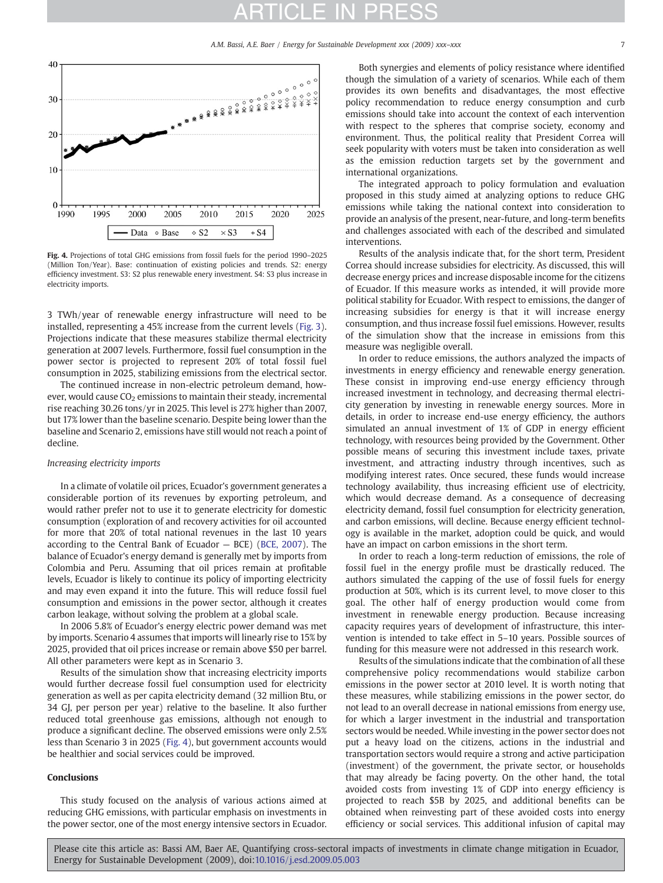A.M. Bassi, A.E. Baer / Energy for Sustainable Development xxx (2009) xxx-xxx

<span id="page-6-0"></span>

Fig. 4. Projections of total GHG emissions from fossil fuels for the period 1990–2025 (Million Ton/Year). Base: continuation of existing policies and trends. S2: energy efficiency investment. S3: S2 plus renewable enery investment. S4: S3 plus increase in electricity imports.

3 TWh/year of renewable energy infrastructure will need to be installed, representing a 45% increase from the current levels [\(Fig. 3](#page-5-0)). Projections indicate that these measures stabilize thermal electricity generation at 2007 levels. Furthermore, fossil fuel consumption in the power sector is projected to represent 20% of total fossil fuel consumption in 2025, stabilizing emissions from the electrical sector.

The continued increase in non-electric petroleum demand, however, would cause  $CO<sub>2</sub>$  emissions to maintain their steady, incremental rise reaching 30.26 tons/yr in 2025. This level is 27% higher than 2007, but 17% lower than the baseline scenario. Despite being lower than the baseline and Scenario 2, emissions have still would not reach a point of decline.

#### Increasing electricity imports

In a climate of volatile oil prices, Ecuador's government generates a considerable portion of its revenues by exporting petroleum, and would rather prefer not to use it to generate electricity for domestic consumption (exploration of and recovery activities for oil accounted for more that 20% of total national revenues in the last 10 years according to the Central Bank of Ecuador  $-$  BCE) [\(BCE, 2007\)](#page-7-0). The balance of Ecuador's energy demand is generally met by imports from Colombia and Peru. Assuming that oil prices remain at profitable levels, Ecuador is likely to continue its policy of importing electricity and may even expand it into the future. This will reduce fossil fuel consumption and emissions in the power sector, although it creates carbon leakage, without solving the problem at a global scale.

In 2006 5.8% of Ecuador's energy electric power demand was met by imports. Scenario 4 assumes that imports will linearly rise to 15% by 2025, provided that oil prices increase or remain above \$50 per barrel. All other parameters were kept as in Scenario 3.

Results of the simulation show that increasing electricity imports would further decrease fossil fuel consumption used for electricity generation as well as per capita electricity demand (32 million Btu, or 34 GJ, per person per year) relative to the baseline. It also further reduced total greenhouse gas emissions, although not enough to produce a significant decline. The observed emissions were only 2.5% less than Scenario 3 in 2025 (Fig. 4), but government accounts would be healthier and social services could be improved.

#### **Conclusions**

This study focused on the analysis of various actions aimed at reducing GHG emissions, with particular emphasis on investments in the power sector, one of the most energy intensive sectors in Ecuador.

Both synergies and elements of policy resistance where identified though the simulation of a variety of scenarios. While each of them provides its own benefits and disadvantages, the most effective policy recommendation to reduce energy consumption and curb emissions should take into account the context of each intervention with respect to the spheres that comprise society, economy and environment. Thus, the political reality that President Correa will seek popularity with voters must be taken into consideration as well as the emission reduction targets set by the government and international organizations.

The integrated approach to policy formulation and evaluation proposed in this study aimed at analyzing options to reduce GHG emissions while taking the national context into consideration to provide an analysis of the present, near-future, and long-term benefits and challenges associated with each of the described and simulated interventions.

Results of the analysis indicate that, for the short term, President Correa should increase subsidies for electricity. As discussed, this will decrease energy prices and increase disposable income for the citizens of Ecuador. If this measure works as intended, it will provide more political stability for Ecuador. With respect to emissions, the danger of increasing subsidies for energy is that it will increase energy consumption, and thus increase fossil fuel emissions. However, results of the simulation show that the increase in emissions from this measure was negligible overall.

In order to reduce emissions, the authors analyzed the impacts of investments in energy efficiency and renewable energy generation. These consist in improving end-use energy efficiency through increased investment in technology, and decreasing thermal electricity generation by investing in renewable energy sources. More in details, in order to increase end-use energy efficiency, the authors simulated an annual investment of 1% of GDP in energy efficient technology, with resources being provided by the Government. Other possible means of securing this investment include taxes, private investment, and attracting industry through incentives, such as modifying interest rates. Once secured, these funds would increase technology availability, thus increasing efficient use of electricity, which would decrease demand. As a consequence of decreasing electricity demand, fossil fuel consumption for electricity generation, and carbon emissions, will decline. Because energy efficient technology is available in the market, adoption could be quick, and would have an impact on carbon emissions in the short term.

In order to reach a long-term reduction of emissions, the role of fossil fuel in the energy profile must be drastically reduced. The authors simulated the capping of the use of fossil fuels for energy production at 50%, which is its current level, to move closer to this goal. The other half of energy production would come from investment in renewable energy production. Because increasing capacity requires years of development of infrastructure, this intervention is intended to take effect in 5–10 years. Possible sources of funding for this measure were not addressed in this research work.

Results of the simulations indicate that the combination of all these comprehensive policy recommendations would stabilize carbon emissions in the power sector at 2010 level. It is worth noting that these measures, while stabilizing emissions in the power sector, do not lead to an overall decrease in national emissions from energy use, for which a larger investment in the industrial and transportation sectors would be needed. While investing in the power sector does not put a heavy load on the citizens, actions in the industrial and transportation sectors would require a strong and active participation (investment) of the government, the private sector, or households that may already be facing poverty. On the other hand, the total avoided costs from investing 1% of GDP into energy efficiency is projected to reach \$5B by 2025, and additional benefits can be obtained when reinvesting part of these avoided costs into energy efficiency or social services. This additional infusion of capital may